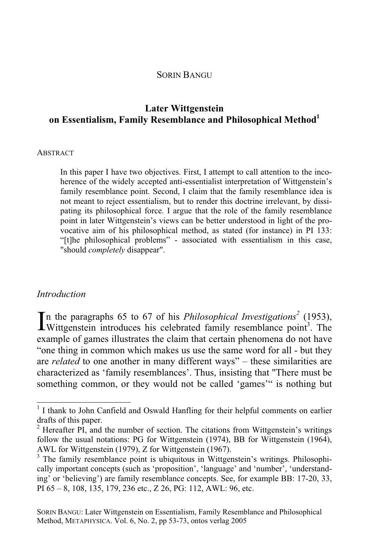#### SORIN BANGU

## **Later Wittgenstein on Essentialism, Family Resemblance and Philosophical Method**<sup>1</sup>

#### **ABSTRACT**

In this paper I have two objectives. First, I attempt to call attention to the incoherence of the widely accepted anti-essentialist interpretation of Wittgenstein's family resemblance point. Second, I claim that the family resemblance idea is not meant to reject essentialism, but to render this doctrine irrelevant, by dissipating its philosophical force. I argue that the role of the family resemblance point in later Wittgenstein's views can be better understood in light of the provocative aim of his philosophical method, as stated (for instance) in PI 133: "[t]he philosophical problems" - associated with essentialism in this case, "should *completely* disappear".

#### *Introduction*

 $\overline{a}$ 

n the paragraphs 65 to 67 of his *Philosophical Investigations<sup>2</sup>* (1953), In the paragraphs 65 to 67 of his *Philosophical Investigations*<sup>2</sup> (1953), Wittgenstein introduces his celebrated family resemblance point<sup>3</sup>. The example of games illustrates the claim that certain phenomena do not have "one thing in common which makes us use the same word for all - but they are *related* to one another in many different ways" – these similarities are characterized as 'family resemblances'. Thus, insisting that "There must be something common, or they would not be called 'games'" is nothing but

<sup>&</sup>lt;sup>1</sup> I thank to John Canfield and Oswald Hanfling for their helpful comments on earlier drafts of this paper.

 $2$  Hereafter PI, and the number of section. The citations from Wittgenstein's writings follow the usual notations: PG for Wittgenstein (1974), BB for Wittgenstein (1964), AWL for Wittgenstein (1979), Z for Wittgenstein (1967).

<sup>&</sup>lt;sup>3</sup> The family resemblance point is ubiquitous in Wittgenstein's writings. Philosophically important concepts (such as 'proposition', 'language' and 'number', 'understanding' or 'believing') are family resemblance concepts. See, for example BB: 17-20, 33, PI 65 – 8, 108, 135, 179, 236 etc., Z 26, PG: 112, AWL: 96, etc.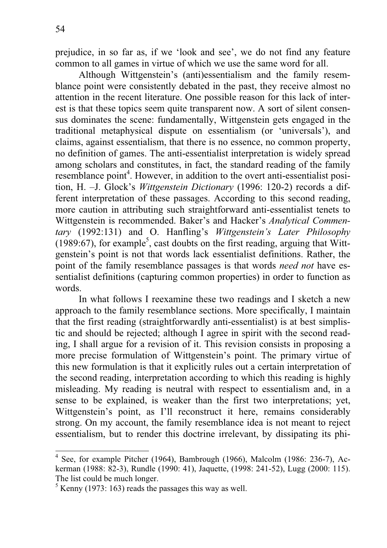prejudice, in so far as, if we 'look and see', we do not find any feature common to all games in virtue of which we use the same word for all.

Although Wittgenstein's (anti)essentialism and the family resemblance point were consistently debated in the past, they receive almost no attention in the recent literature. One possible reason for this lack of interest is that these topics seem quite transparent now. A sort of silent consensus dominates the scene: fundamentally, Wittgenstein gets engaged in the traditional metaphysical dispute on essentialism (or 'universals'), and claims, against essentialism, that there is no essence, no common property, no definition of games. The anti-essentialist interpretation is widely spread among scholars and constitutes, in fact, the standard reading of the family resemblance point<sup>4</sup>. However, in addition to the overt anti-essentialist position, H. –J. Glock's *Wittgenstein Dictionary* (1996: 120-2) records a different interpretation of these passages. According to this second reading, more caution in attributing such straightforward anti-essentialist tenets to Wittgenstein is recommended. Baker's and Hacker's *Analytical Commentary* (1992:131) and O. Hanfling's *Wittgenstein's Later Philosophy* (1989:67), for example<sup>5</sup>, cast doubts on the first reading, arguing that Wittgenstein's point is not that words lack essentialist definitions. Rather, the point of the family resemblance passages is that words *need not* have essentialist definitions (capturing common properties) in order to function as words.

In what follows I reexamine these two readings and I sketch a new approach to the family resemblance sections. More specifically, I maintain that the first reading (straightforwardly anti-essentialist) is at best simplistic and should be rejected; although I agree in spirit with the second reading, I shall argue for a revision of it. This revision consists in proposing a more precise formulation of Wittgenstein's point. The primary virtue of this new formulation is that it explicitly rules out a certain interpretation of the second reading, interpretation according to which this reading is highly misleading. My reading is neutral with respect to essentialism and, in a sense to be explained, is weaker than the first two interpretations; yet, Wittgenstein's point, as I'll reconstruct it here, remains considerably strong. On my account, the family resemblance idea is not meant to reject essentialism, but to render this doctrine irrelevant, by dissipating its phi-

<sup>4&</sup>lt;br><sup>4</sup> See, for example Pitcher (1964), Bambrough (1966), Malcolm (1986: 236-7), Ackerman (1988: 82-3), Rundle (1990: 41), Jaquette, (1998: 241-52), Lugg (2000: 115). The list could be much longer.

 $<sup>5</sup>$  Kenny (1973: 163) reads the passages this way as well.</sup>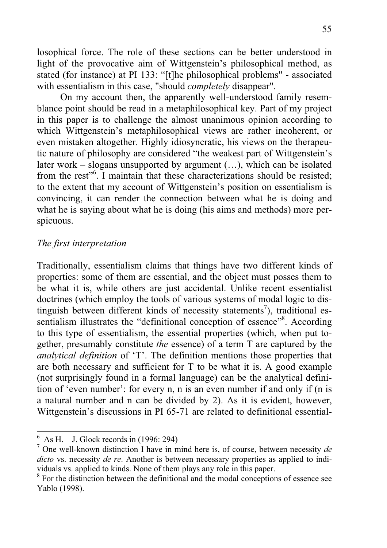losophical force. The role of these sections can be better understood in light of the provocative aim of Wittgenstein's philosophical method, as stated (for instance) at PI 133: "[t]he philosophical problems" - associated with essentialism in this case, "should *completely* disappear".

On my account then, the apparently well-understood family resemblance point should be read in a metaphilosophical key. Part of my project in this paper is to challenge the almost unanimous opinion according to which Wittgenstein's metaphilosophical views are rather incoherent, or even mistaken altogether. Highly idiosyncratic, his views on the therapeutic nature of philosophy are considered "the weakest part of Wittgenstein's later work – slogans unsupported by argument (…), which can be isolated from the rest"<sup>6</sup>. I maintain that these characterizations should be resisted; to the extent that my account of Wittgenstein's position on essentialism is convincing, it can render the connection between what he is doing and what he is saying about what he is doing (his aims and methods) more perspicuous.

### *The first interpretation*

Traditionally, essentialism claims that things have two different kinds of properties: some of them are essential, and the object must posses them to be what it is, while others are just accidental. Unlike recent essentialist doctrines (which employ the tools of various systems of modal logic to distinguish between different kinds of necessity statements<sup>7</sup>), traditional essentialism illustrates the "definitional conception of essence"<sup>8</sup>. According to this type of essentialism, the essential properties (which, when put together, presumably constitute *the* essence) of a term T are captured by the *analytical definition* of 'T'. The definition mentions those properties that are both necessary and sufficient for T to be what it is. A good example (not surprisingly found in a formal language) can be the analytical definition of 'even number': for every n, n is an even number if and only if (n is a natural number and n can be divided by 2). As it is evident, however, Wittgenstein's discussions in PI 65-71 are related to definitional essential-

 $\overline{6\text{ As H.} - \text{J. Block records in (1996: 294)}}$ 

<sup>7</sup> One well-known distinction I have in mind here is, of course, between necessity *de dicto* vs. necessity *de re*. Another is between necessary properties as applied to individuals vs. applied to kinds. None of them plays any role in this paper.

<sup>&</sup>lt;sup>8</sup> For the distinction between the definitional and the modal conceptions of essence see Yablo (1998).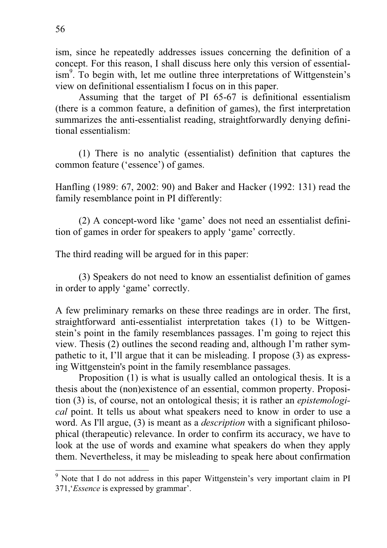ism, since he repeatedly addresses issues concerning the definition of a concept. For this reason, I shall discuss here only this version of essentialism<sup>9</sup>. To begin with, let me outline three interpretations of Wittgenstein's view on definitional essentialism I focus on in this paper.

Assuming that the target of PI 65-67 is definitional essentialism (there is a common feature, a definition of games), the first interpretation summarizes the anti-essentialist reading, straightforwardly denying definitional essentialism:

(1) There is no analytic (essentialist) definition that captures the common feature ('essence') of games.

Hanfling (1989: 67, 2002: 90) and Baker and Hacker (1992: 131) read the family resemblance point in PI differently:

(2) A concept-word like 'game' does not need an essentialist definition of games in order for speakers to apply 'game' correctly.

The third reading will be argued for in this paper:

(3) Speakers do not need to know an essentialist definition of games in order to apply 'game' correctly.

A few preliminary remarks on these three readings are in order. The first, straightforward anti-essentialist interpretation takes (1) to be Wittgenstein's point in the family resemblances passages. I'm going to reject this view. Thesis (2) outlines the second reading and, although I'm rather sympathetic to it, I'll argue that it can be misleading. I propose (3) as expressing Wittgenstein's point in the family resemblance passages.

Proposition (1) is what is usually called an ontological thesis. It is a thesis about the (non)existence of an essential, common property. Proposition (3) is, of course, not an ontological thesis; it is rather an *epistemological* point. It tells us about what speakers need to know in order to use a word. As I'll argue, (3) is meant as a *description* with a significant philosophical (therapeutic) relevance. In order to confirm its accuracy, we have to look at the use of words and examine what speakers do when they apply them. Nevertheless, it may be misleading to speak here about confirmation

We are that I do not address in this paper Wittgenstein's very important claim in PI 371,'*Essence* is expressed by grammar'.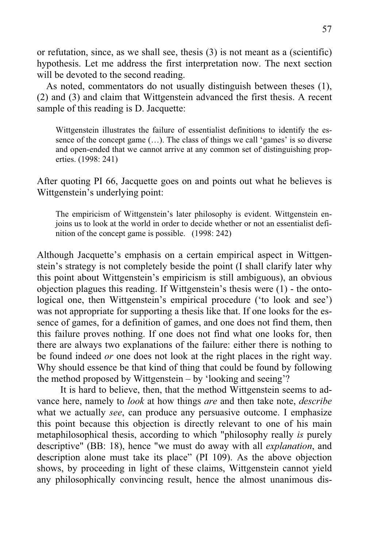or refutation, since, as we shall see, thesis (3) is not meant as a (scientific) hypothesis. Let me address the first interpretation now. The next section will be devoted to the second reading.

As noted, commentators do not usually distinguish between theses (1), (2) and (3) and claim that Wittgenstein advanced the first thesis. A recent sample of this reading is D. Jacquette:

Wittgenstein illustrates the failure of essentialist definitions to identify the essence of the concept game (…). The class of things we call 'games' is so diverse and open-ended that we cannot arrive at any common set of distinguishing properties. (1998: 241)

After quoting PI 66, Jacquette goes on and points out what he believes is Wittgenstein's underlying point:

The empiricism of Wittgenstein's later philosophy is evident. Wittgenstein enjoins us to look at the world in order to decide whether or not an essentialist definition of the concept game is possible. (1998: 242)

Although Jacquette's emphasis on a certain empirical aspect in Wittgenstein's strategy is not completely beside the point (I shall clarify later why this point about Wittgenstein's empiricism is still ambiguous), an obvious objection plagues this reading. If Wittgenstein's thesis were (1) - the ontological one, then Wittgenstein's empirical procedure ('to look and see') was not appropriate for supporting a thesis like that. If one looks for the essence of games, for a definition of games, and one does not find them, then this failure proves nothing. If one does not find what one looks for, then there are always two explanations of the failure: either there is nothing to be found indeed *or* one does not look at the right places in the right way. Why should essence be that kind of thing that could be found by following the method proposed by Wittgenstein – by 'looking and seeing'?

It is hard to believe, then, that the method Wittgenstein seems to advance here, namely to *look* at how things *are* and then take note, *describe* what we actually *see*, can produce any persuasive outcome. I emphasize this point because this objection is directly relevant to one of his main metaphilosophical thesis, according to which "philosophy really *is* purely descriptive" (BB: 18), hence "we must do away with all *explanation*, and description alone must take its place" (PI 109). As the above objection shows, by proceeding in light of these claims, Wittgenstein cannot yield any philosophically convincing result, hence the almost unanimous dis-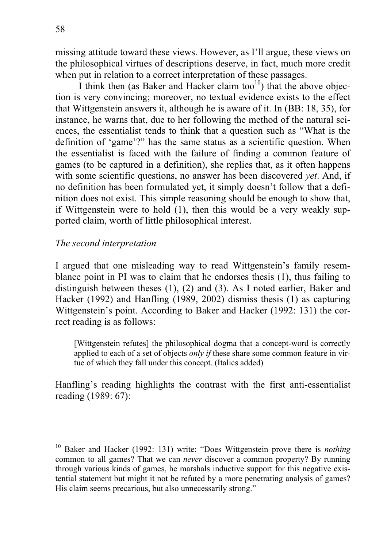$\overline{a}$ 

missing attitude toward these views. However, as I'll argue, these views on the philosophical virtues of descriptions deserve, in fact, much more credit when put in relation to a correct interpretation of these passages.

I think then (as Baker and Hacker claim too $10$ ) that the above objection is very convincing; moreover, no textual evidence exists to the effect that Wittgenstein answers it, although he is aware of it. In (BB: 18, 35), for instance, he warns that, due to her following the method of the natural sciences, the essentialist tends to think that a question such as "What is the definition of 'game'?" has the same status as a scientific question. When the essentialist is faced with the failure of finding a common feature of games (to be captured in a definition), she replies that, as it often happens with some scientific questions, no answer has been discovered *yet*. And, if no definition has been formulated yet, it simply doesn't follow that a definition does not exist. This simple reasoning should be enough to show that, if Wittgenstein were to hold (1), then this would be a very weakly supported claim, worth of little philosophical interest.

### *The second interpretation*

I argued that one misleading way to read Wittgenstein's family resemblance point in PI was to claim that he endorses thesis (1), thus failing to distinguish between theses (1), (2) and (3). As I noted earlier, Baker and Hacker (1992) and Hanfling (1989, 2002) dismiss thesis (1) as capturing Wittgenstein's point. According to Baker and Hacker (1992: 131) the correct reading is as follows:

[Wittgenstein refutes] the philosophical dogma that a concept-word is correctly applied to each of a set of objects *only if* these share some common feature in virtue of which they fall under this concept. (Italics added)

Hanfling's reading highlights the contrast with the first anti-essentialist reading (1989: 67):

<sup>10</sup> Baker and Hacker (1992: 131) write: "Does Wittgenstein prove there is *nothing* common to all games? That we can *never* discover a common property? By running through various kinds of games, he marshals inductive support for this negative existential statement but might it not be refuted by a more penetrating analysis of games? His claim seems precarious, but also unnecessarily strong."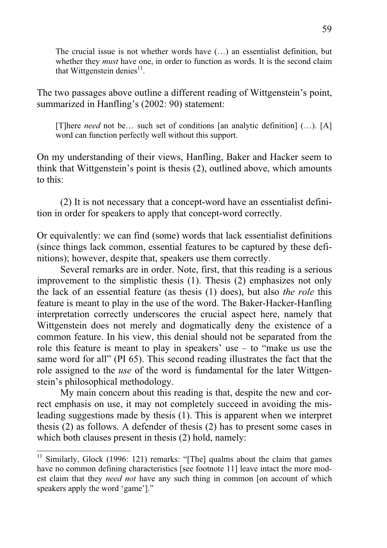The crucial issue is not whether words have (…) an essentialist definition, but whether they *must* have one, in order to function as words. It is the second claim that Wittgenstein denies $^{11}$ .

The two passages above outline a different reading of Wittgenstein's point, summarized in Hanfling's (2002: 90) statement:

[T]here *need* not be… such set of conditions [an analytic definition] (…). [A] word can function perfectly well without this support.

On my understanding of their views, Hanfling, Baker and Hacker seem to think that Wittgenstein's point is thesis (2), outlined above, which amounts to this:

(2) It is not necessary that a concept-word have an essentialist definition in order for speakers to apply that concept-word correctly.

Or equivalently: we can find (some) words that lack essentialist definitions (since things lack common, essential features to be captured by these definitions); however, despite that, speakers use them correctly.

Several remarks are in order. Note, first, that this reading is a serious improvement to the simplistic thesis (1). Thesis (2) emphasizes not only the lack of an essential feature (as thesis (1) does), but also *the role* this feature is meant to play in the use of the word. The Baker-Hacker-Hanfling interpretation correctly underscores the crucial aspect here, namely that Wittgenstein does not merely and dogmatically deny the existence of a common feature. In his view, this denial should not be separated from the role this feature is meant to play in speakers' use – to "make us use the same word for all" (PI 65). This second reading illustrates the fact that the role assigned to the *use* of the word is fundamental for the later Wittgenstein's philosophical methodology.

My main concern about this reading is that, despite the new and correct emphasis on use, it may not completely succeed in avoiding the misleading suggestions made by thesis (1). This is apparent when we interpret thesis (2) as follows. A defender of thesis (2) has to present some cases in which both clauses present in thesis  $(2)$  hold, namely:

 $11$  Similarly, Glock (1996: 121) remarks: "[The] qualms about the claim that games have no common defining characteristics [see footnote 11] leave intact the more modest claim that they *need not* have any such thing in common [on account of which speakers apply the word 'game']."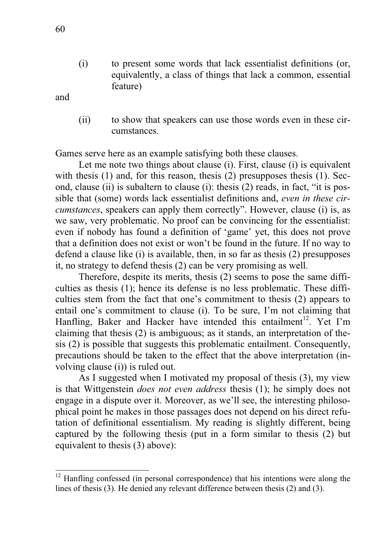(i) to present some words that lack essentialist definitions (or, equivalently, a class of things that lack a common, essential feature)

and

 $\overline{a}$ 

(ii) to show that speakers can use those words even in these circumstances.

Games serve here as an example satisfying both these clauses.

Let me note two things about clause (i). First, clause (i) is equivalent with thesis (1) and, for this reason, thesis (2) presupposes thesis (1). Second, clause (ii) is subaltern to clause (i): thesis (2) reads, in fact, "it is possible that (some) words lack essentialist definitions and, *even in these circumstances*, speakers can apply them correctly". However, clause (i) is, as we saw, very problematic. No proof can be convincing for the essentialist: even if nobody has found a definition of 'game' yet, this does not prove that a definition does not exist or won't be found in the future. If no way to defend a clause like (i) is available, then, in so far as thesis (2) presupposes it, no strategy to defend thesis (2) can be very promising as well.

Therefore, despite its merits, thesis (2) seems to pose the same difficulties as thesis (1); hence its defense is no less problematic. These difficulties stem from the fact that one's commitment to thesis (2) appears to entail one's commitment to clause (i). To be sure, I'm not claiming that Hanfling, Baker and Hacker have intended this entailment<sup>12</sup>. Yet I'm claiming that thesis (2) is ambiguous; as it stands, an interpretation of thesis (2) is possible that suggests this problematic entailment. Consequently, precautions should be taken to the effect that the above interpretation (involving clause (i)) is ruled out.

As I suggested when I motivated my proposal of thesis (3), my view is that Wittgenstein *does not even address* thesis (1); he simply does not engage in a dispute over it. Moreover, as we'll see, the interesting philosophical point he makes in those passages does not depend on his direct refutation of definitional essentialism. My reading is slightly different, being captured by the following thesis (put in a form similar to thesis (2) but equivalent to thesis (3) above):

<sup>&</sup>lt;sup>12</sup> Hanfling confessed (in personal correspondence) that his intentions were along the lines of thesis (3). He denied any relevant difference between thesis (2) and (3).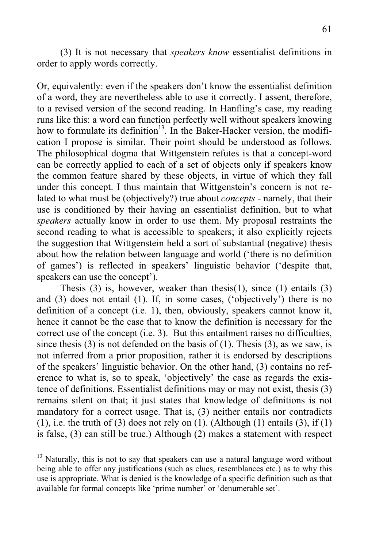(3) It is not necessary that *speakers know* essentialist definitions in order to apply words correctly.

Or, equivalently: even if the speakers don't know the essentialist definition of a word, they are nevertheless able to use it correctly. I assent, therefore, to a revised version of the second reading. In Hanfling's case, my reading runs like this: a word can function perfectly well without speakers knowing how to formulate its definition<sup>13</sup>. In the Baker-Hacker version, the modification I propose is similar. Their point should be understood as follows. The philosophical dogma that Wittgenstein refutes is that a concept-word can be correctly applied to each of a set of objects only if speakers know the common feature shared by these objects, in virtue of which they fall under this concept. I thus maintain that Wittgenstein's concern is not related to what must be (objectively?) true about *concepts* - namely, that their use is conditioned by their having an essentialist definition, but to what *speakers* actually know in order to use them. My proposal restraints the second reading to what is accessible to speakers; it also explicitly rejects the suggestion that Wittgenstein held a sort of substantial (negative) thesis about how the relation between language and world ('there is no definition of games') is reflected in speakers' linguistic behavior ('despite that, speakers can use the concept').

Thesis (3) is, however, weaker than thesis(1), since (1) entails (3) and (3) does not entail (1). If, in some cases, ('objectively') there is no definition of a concept (i.e. 1), then, obviously, speakers cannot know it, hence it cannot be the case that to know the definition is necessary for the correct use of the concept (i.e. 3). But this entailment raises no difficulties, since thesis (3) is not defended on the basis of (1). Thesis (3), as we saw, is not inferred from a prior proposition, rather it is endorsed by descriptions of the speakers' linguistic behavior. On the other hand, (3) contains no reference to what is, so to speak, 'objectively' the case as regards the existence of definitions. Essentialist definitions may or may not exist, thesis (3) remains silent on that; it just states that knowledge of definitions is not mandatory for a correct usage. That is, (3) neither entails nor contradicts (1), i.e. the truth of (3) does not rely on (1). (Although (1) entails (3), if (1) is false, (3) can still be true.) Although (2) makes a statement with respect

<sup>&</sup>lt;sup>13</sup> Naturally, this is not to say that speakers can use a natural language word without being able to offer any justifications (such as clues, resemblances etc.) as to why this use is appropriate. What is denied is the knowledge of a specific definition such as that available for formal concepts like 'prime number' or 'denumerable set'.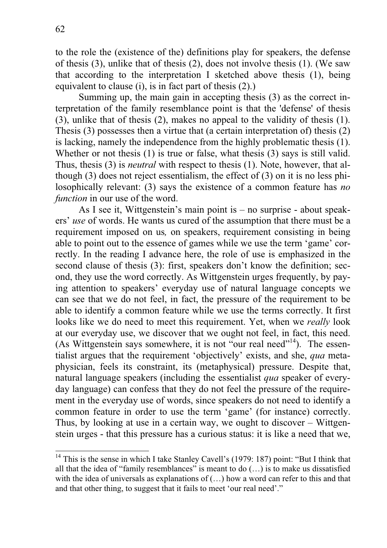to the role the (existence of the) definitions play for speakers, the defense of thesis (3), unlike that of thesis (2), does not involve thesis (1). (We saw that according to the interpretation I sketched above thesis (1), being equivalent to clause (i), is in fact part of thesis (2).)

Summing up, the main gain in accepting thesis (3) as the correct interpretation of the family resemblance point is that the 'defense' of thesis (3), unlike that of thesis (2), makes no appeal to the validity of thesis (1). Thesis (3) possesses then a virtue that (a certain interpretation of) thesis (2) is lacking, namely the independence from the highly problematic thesis (1). Whether or not thesis (1) is true or false, what thesis (3) says is still valid. Thus, thesis (3) is *neutral* with respect to thesis (1). Note, however, that although (3) does not reject essentialism, the effect of (3) on it is no less philosophically relevant: (3) says the existence of a common feature has *no function* in our use of the word.

As I see it, Wittgenstein's main point is – no surprise - about speakers' *use* of words. He wants us cured of the assumption that there must be a requirement imposed on us*,* on speakers, requirement consisting in being able to point out to the essence of games while we use the term 'game' correctly. In the reading I advance here, the role of use is emphasized in the second clause of thesis (3): first, speakers don't know the definition; second, they use the word correctly. As Wittgenstein urges frequently, by paying attention to speakers' everyday use of natural language concepts we can see that we do not feel, in fact, the pressure of the requirement to be able to identify a common feature while we use the terms correctly. It first looks like we do need to meet this requirement. Yet, when we *really* look at our everyday use, we discover that we ought not feel, in fact, this need. (As Wittgenstein says somewhere, it is not "our real need"<sup>14</sup>). The essentialist argues that the requirement 'objectively' exists, and she, *qua* metaphysician, feels its constraint, its (metaphysical) pressure. Despite that, natural language speakers (including the essentialist *qua* speaker of everyday language) can confess that they do not feel the pressure of the requirement in the everyday use of words, since speakers do not need to identify a common feature in order to use the term 'game' (for instance) correctly. Thus, by looking at use in a certain way, we ought to discover – Wittgenstein urges - that this pressure has a curious status: it is like a need that we,

 $\overline{a}$ <sup>14</sup> This is the sense in which I take Stanley Cavell's (1979: 187) point: "But I think that all that the idea of "family resemblances" is meant to do (…) is to make us dissatisfied with the idea of universals as explanations of  $(...)$  how a word can refer to this and that and that other thing, to suggest that it fails to meet 'our real need'."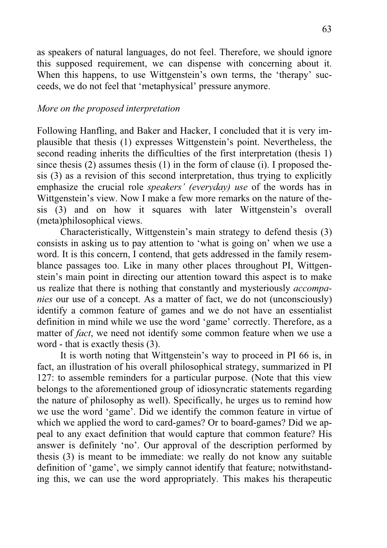as speakers of natural languages, do not feel. Therefore, we should ignore this supposed requirement, we can dispense with concerning about it. When this happens, to use Wittgenstein's own terms, the 'therapy' succeeds, we do not feel that 'metaphysical' pressure anymore.

## *More on the proposed interpretation*

Following Hanfling, and Baker and Hacker, I concluded that it is very implausible that thesis (1) expresses Wittgenstein's point. Nevertheless, the second reading inherits the difficulties of the first interpretation (thesis 1) since thesis (2) assumes thesis (1) in the form of clause (i). I proposed thesis (3) as a revision of this second interpretation, thus trying to explicitly emphasize the crucial role *speakers' (everyday) use* of the words has in Wittgenstein's view. Now I make a few more remarks on the nature of thesis (3) and on how it squares with later Wittgenstein's overall (meta)philosophical views.

Characteristically, Wittgenstein's main strategy to defend thesis (3) consists in asking us to pay attention to 'what is going on' when we use a word. It is this concern, I contend, that gets addressed in the family resemblance passages too. Like in many other places throughout PI, Wittgenstein's main point in directing our attention toward this aspect is to make us realize that there is nothing that constantly and mysteriously *accompanies* our use of a concept. As a matter of fact, we do not (unconsciously) identify a common feature of games and we do not have an essentialist definition in mind while we use the word 'game' correctly. Therefore, as a matter of *fact*, we need not identify some common feature when we use a word - that is exactly thesis (3).

It is worth noting that Wittgenstein's way to proceed in PI 66 is, in fact, an illustration of his overall philosophical strategy, summarized in PI 127: to assemble reminders for a particular purpose. (Note that this view belongs to the aforementioned group of idiosyncratic statements regarding the nature of philosophy as well). Specifically, he urges us to remind how we use the word 'game'. Did we identify the common feature in virtue of which we applied the word to card-games? Or to board-games? Did we appeal to any exact definition that would capture that common feature? His answer is definitely 'no'. Our approval of the description performed by thesis (3) is meant to be immediate: we really do not know any suitable definition of 'game', we simply cannot identify that feature; notwithstanding this, we can use the word appropriately. This makes his therapeutic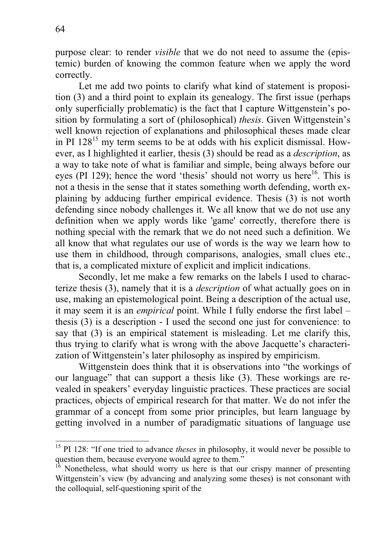purpose clear: to render *visible* that we do not need to assume the (epistemic) burden of knowing the common feature when we apply the word correctly.

Let me add two points to clarify what kind of statement is proposition (3) and a third point to explain its genealogy. The first issue (perhaps only superficially problematic) is the fact that I capture Wittgenstein's position by formulating a sort of (philosophical) *thesis*. Given Wittgenstein's well known rejection of explanations and philosophical theses made clear in PI  $128^{15}$  my term seems to be at odds with his explicit dismissal. However, as I highlighted it earlier, thesis (3) should be read as a *description*, as a way to take note of what is familiar and simple, being always before our eyes (PI 129); hence the word 'thesis' should not worry us here<sup>16</sup>. This is not a thesis in the sense that it states something worth defending, worth explaining by adducing further empirical evidence. Thesis (3) is not worth defending since nobody challenges it. We all know that we do not use any definition when we apply words like 'game' correctly, therefore there is nothing special with the remark that we do not need such a definition. We all know that what regulates our use of words is the way we learn how to use them in childhood, through comparisons, analogies, small clues etc., that is, a complicated mixture of explicit and implicit indications.

Secondly, let me make a few remarks on the labels I used to characterize thesis (3), namely that it is a *description* of what actually goes on in use, making an epistemological point. Being a description of the actual use, it may seem it is an *empirical* point. While I fully endorse the first label – thesis (3) is a description - I used the second one just for convenience: to say that (3) is an empirical statement is misleading. Let me clarify this, thus trying to clarify what is wrong with the above Jacquette's characterization of Wittgenstein's later philosophy as inspired by empiricism.

Wittgenstein does think that it is observations into "the workings of our language" that can support a thesis like (3). These workings are revealed in speakers' everyday linguistic practices. These practices are social practices, objects of empirical research for that matter. We do not infer the grammar of a concept from some prior principles, but learn language by getting involved in a number of paradigmatic situations of language use

<sup>&</sup>lt;sup>15</sup> PI 128: "If one tried to advance *theses* in philosophy, it would never be possible to question them, because everyone would agree to them."

 $16$  Nonetheless, what should worry us here is that our crispy manner of presenting Wittgenstein's view (by advancing and analyzing some theses) is not consonant with the colloquial, self-questioning spirit of the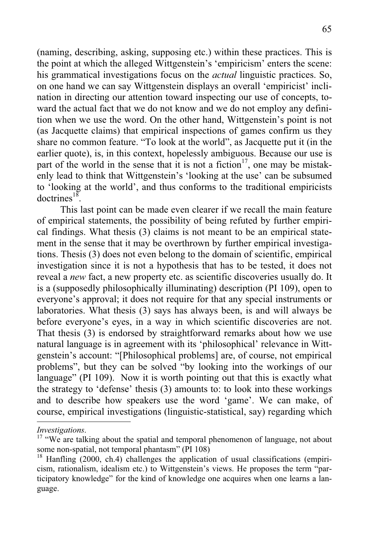(naming, describing, asking, supposing etc.) within these practices. This is the point at which the alleged Wittgenstein's 'empiricism' enters the scene: his grammatical investigations focus on the *actual* linguistic practices. So, on one hand we can say Wittgenstein displays an overall 'empiricist' inclination in directing our attention toward inspecting our use of concepts, toward the actual fact that we do not know and we do not employ any definition when we use the word. On the other hand, Wittgenstein's point is not (as Jacquette claims) that empirical inspections of games confirm us they share no common feature. "To look at the world", as Jacquette put it (in the earlier quote), is, in this context, hopelessly ambiguous. Because our use is part of the world in the sense that it is not a fiction<sup>17</sup>, one may be mistakenly lead to think that Wittgenstein's 'looking at the use' can be subsumed to 'looking at the world', and thus conforms to the traditional empiricists doctrines<sup>18</sup>.

This last point can be made even clearer if we recall the main feature of empirical statements, the possibility of being refuted by further empirical findings. What thesis (3) claims is not meant to be an empirical statement in the sense that it may be overthrown by further empirical investigations. Thesis (3) does not even belong to the domain of scientific, empirical investigation since it is not a hypothesis that has to be tested, it does not reveal a *new* fact, a new property etc. as scientific discoveries usually do. It is a (supposedly philosophically illuminating) description (PI 109), open to everyone's approval; it does not require for that any special instruments or laboratories. What thesis (3) says has always been, is and will always be before everyone's eyes, in a way in which scientific discoveries are not. That thesis (3) is endorsed by straightforward remarks about how we use natural language is in agreement with its 'philosophical' relevance in Wittgenstein's account: "[Philosophical problems] are, of course, not empirical problems", but they can be solved "by looking into the workings of our language" (PI 109). Now it is worth pointing out that this is exactly what the strategy to 'defense' thesis (3) amounts to: to look into these workings and to describe how speakers use the word 'game'. We can make, of course, empirical investigations (linguistic-statistical, say) regarding which

*Investigations*.<br><sup>17</sup> "We are talking about the spatial and temporal phenomenon of language, not about some non-spatial, not temporal phantasm" (PI 108)

 $18$  Hanfling (2000, ch.4) challenges the application of usual classifications (empiricism, rationalism, idealism etc.) to Wittgenstein's views. He proposes the term "participatory knowledge" for the kind of knowledge one acquires when one learns a language.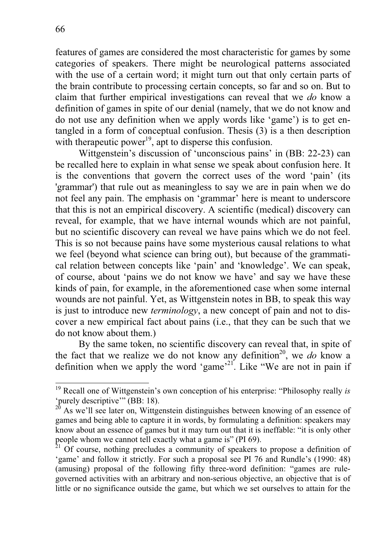features of games are considered the most characteristic for games by some categories of speakers. There might be neurological patterns associated with the use of a certain word; it might turn out that only certain parts of the brain contribute to processing certain concepts, so far and so on. But to claim that further empirical investigations can reveal that we *do* know a definition of games in spite of our denial (namely, that we do not know and do not use any definition when we apply words like 'game') is to get entangled in a form of conceptual confusion. Thesis (3) is a then description with therapeutic power<sup>19</sup>, apt to disperse this confusion.

Wittgenstein's discussion of 'unconscious pains' in (BB: 22-23) can be recalled here to explain in what sense we speak about confusion here. It is the conventions that govern the correct uses of the word 'pain' (its 'grammar') that rule out as meaningless to say we are in pain when we do not feel any pain. The emphasis on 'grammar' here is meant to underscore that this is not an empirical discovery. A scientific (medical) discovery can reveal, for example, that we have internal wounds which are not painful, but no scientific discovery can reveal we have pains which we do not feel. This is so not because pains have some mysterious causal relations to what we feel (beyond what science can bring out), but because of the grammatical relation between concepts like 'pain' and 'knowledge'. We can speak, of course, about 'pains we do not know we have' and say we have these kinds of pain, for example, in the aforementioned case when some internal wounds are not painful. Yet, as Wittgenstein notes in BB, to speak this way is just to introduce new *terminology*, a new concept of pain and not to discover a new empirical fact about pains (i.e., that they can be such that we do not know about them.)

By the same token, no scientific discovery can reveal that, in spite of the fact that we realize we do not know any definition<sup>20</sup>, we *do* know a definition when we apply the word 'game'<sup>21'</sup>. Like "We are not in pain if

-

<sup>19</sup> Recall one of Wittgenstein's own conception of his enterprise: "Philosophy really *is* 'purely descriptive'" (BB: 18).

<sup>&</sup>lt;sup>20</sup> As we'll see later on, Wittgenstein distinguishes between knowing of an essence of games and being able to capture it in words, by formulating a definition: speakers may know about an essence of games but it may turn out that it is ineffable: "it is only other people whom we cannot tell exactly what a game is" (PI 69).

 $21$  Of course, nothing precludes a community of speakers to propose a definition of 'game' and follow it strictly. For such a proposal see PI 76 and Rundle's (1990: 48) (amusing) proposal of the following fifty three-word definition: "games are rulegoverned activities with an arbitrary and non-serious objective, an objective that is of little or no significance outside the game, but which we set ourselves to attain for the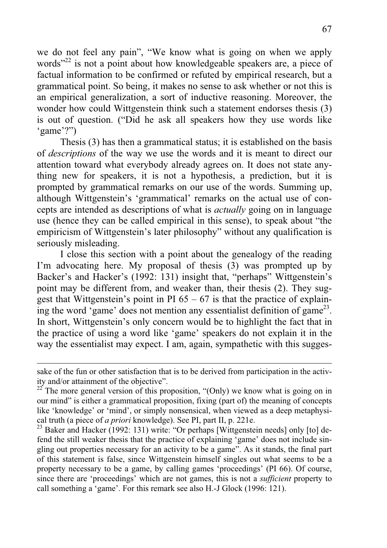we do not feel any pain", "We know what is going on when we apply words"<sup>22</sup> is not a point about how knowledgeable speakers are, a piece of factual information to be confirmed or refuted by empirical research, but a grammatical point. So being, it makes no sense to ask whether or not this is an empirical generalization, a sort of inductive reasoning. Moreover, the wonder how could Wittgenstein think such a statement endorses thesis (3) is out of question. ("Did he ask all speakers how they use words like 'game'?")

Thesis (3) has then a grammatical status; it is established on the basis of *descriptions* of the way we use the words and it is meant to direct our attention toward what everybody already agrees on. It does not state anything new for speakers, it is not a hypothesis, a prediction, but it is prompted by grammatical remarks on our use of the words. Summing up, although Wittgenstein's 'grammatical' remarks on the actual use of concepts are intended as descriptions of what is *actually* going on in language use (hence they can be called empirical in this sense), to speak about "the empiricism of Wittgenstein's later philosophy" without any qualification is seriously misleading.

I close this section with a point about the genealogy of the reading I'm advocating here. My proposal of thesis (3) was prompted up by Backer's and Hacker's (1992: 131) insight that, "perhaps" Wittgenstein's point may be different from, and weaker than, their thesis (2). They suggest that Wittgenstein's point in PI  $65 - 67$  is that the practice of explaining the word 'game' does not mention any essentialist definition of game<sup>23</sup>. In short, Wittgenstein's only concern would be to highlight the fact that in the practice of using a word like 'game' speakers do not explain it in the way the essentialist may expect. I am, again, sympathetic with this sugges-

sake of the fun or other satisfaction that is to be derived from participation in the activity and/or attainment of the objective".

 $22^{\circ}$  The more general version of this proposition, "(Only) we know what is going on in our mind" is either a grammatical proposition, fixing (part of) the meaning of concepts like 'knowledge' or 'mind', or simply nonsensical, when viewed as a deep metaphysical truth (a piece of *a priori* knowledge). See PI, part II, p. 221e.

<sup>&</sup>lt;sup>23</sup> Baker and Hacker (1992: 131) write: "Or perhaps [Wittgenstein needs] only [to] defend the still weaker thesis that the practice of explaining 'game' does not include singling out properties necessary for an activity to be a game". As it stands, the final part of this statement is false, since Wittgenstein himself singles out what seems to be a property necessary to be a game, by calling games 'proceedings' (PI 66). Of course, since there are 'proceedings' which are not games, this is not a *sufficient* property to call something a 'game'. For this remark see also H.-J Glock (1996: 121).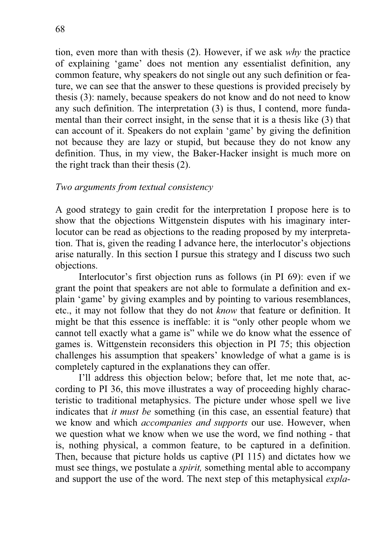tion, even more than with thesis (2). However, if we ask *why* the practice of explaining 'game' does not mention any essentialist definition, any common feature, why speakers do not single out any such definition or feature, we can see that the answer to these questions is provided precisely by thesis (3): namely, because speakers do not know and do not need to know any such definition. The interpretation (3) is thus, I contend, more fundamental than their correct insight, in the sense that it is a thesis like (3) that can account of it. Speakers do not explain 'game' by giving the definition not because they are lazy or stupid, but because they do not know any definition. Thus, in my view, the Baker-Hacker insight is much more on the right track than their thesis (2).

# *Two arguments from textual consistency*

A good strategy to gain credit for the interpretation I propose here is to show that the objections Wittgenstein disputes with his imaginary interlocutor can be read as objections to the reading proposed by my interpretation. That is, given the reading I advance here, the interlocutor's objections arise naturally. In this section I pursue this strategy and I discuss two such objections.

Interlocutor's first objection runs as follows (in PI 69): even if we grant the point that speakers are not able to formulate a definition and explain 'game' by giving examples and by pointing to various resemblances, etc., it may not follow that they do not *know* that feature or definition. It might be that this essence is ineffable: it is "only other people whom we cannot tell exactly what a game is" while we do know what the essence of games is. Wittgenstein reconsiders this objection in PI 75; this objection challenges his assumption that speakers' knowledge of what a game is is completely captured in the explanations they can offer.

I'll address this objection below; before that, let me note that, according to PI 36, this move illustrates a way of proceeding highly characteristic to traditional metaphysics. The picture under whose spell we live indicates that *it must be* something (in this case, an essential feature) that we know and which *accompanies and supports* our use. However, when we question what we know when we use the word, we find nothing - that is, nothing physical, a common feature, to be captured in a definition. Then, because that picture holds us captive (PI 115) and dictates how we must see things, we postulate a *spirit,* something mental able to accompany and support the use of the word. The next step of this metaphysical *expla-*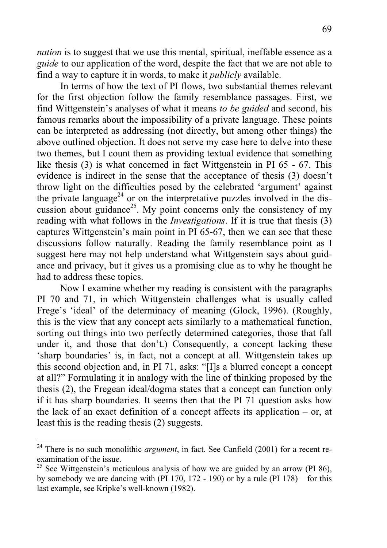*nation* is to suggest that we use this mental, spiritual, ineffable essence as a *guide* to our application of the word, despite the fact that we are not able to find a way to capture it in words, to make it *publicly* available.

In terms of how the text of PI flows, two substantial themes relevant for the first objection follow the family resemblance passages. First, we find Wittgenstein's analyses of what it means *to be guided* and second, his famous remarks about the impossibility of a private language. These points can be interpreted as addressing (not directly, but among other things) the above outlined objection. It does not serve my case here to delve into these two themes, but I count them as providing textual evidence that something like thesis (3) is what concerned in fact Wittgenstein in PI 65 - 67. This evidence is indirect in the sense that the acceptance of thesis (3) doesn't throw light on the difficulties posed by the celebrated 'argument' against the private language<sup>24</sup> or on the interpretative puzzles involved in the discussion about guidance<sup>25</sup>. My point concerns only the consistency of my reading with what follows in the *Investigations*. If it is true that thesis (3) captures Wittgenstein's main point in PI 65-67, then we can see that these discussions follow naturally. Reading the family resemblance point as I suggest here may not help understand what Wittgenstein says about guidance and privacy, but it gives us a promising clue as to why he thought he had to address these topics.

Now I examine whether my reading is consistent with the paragraphs PI 70 and 71, in which Wittgenstein challenges what is usually called Frege's 'ideal' of the determinacy of meaning (Glock, 1996). (Roughly, this is the view that any concept acts similarly to a mathematical function, sorting out things into two perfectly determined categories, those that fall under it, and those that don't.) Consequently, a concept lacking these 'sharp boundaries' is, in fact, not a concept at all. Wittgenstein takes up this second objection and, in PI 71, asks: "[I]s a blurred concept a concept at all?" Formulating it in analogy with the line of thinking proposed by the thesis (2), the Fregean ideal/dogma states that a concept can function only if it has sharp boundaries. It seems then that the PI 71 question asks how the lack of an exact definition of a concept affects its application  $-$  or, at least this is the reading thesis (2) suggests.

<sup>24</sup> There is no such monolithic *argument*, in fact. See Canfield (2001) for a recent reexamination of the issue.

<sup>&</sup>lt;sup>25</sup> See Wittgenstein's meticulous analysis of how we are guided by an arrow (PI 86). by somebody we are dancing with (PI 170, 172 - 190) or by a rule (PI 178) – for this last example, see Kripke's well-known (1982).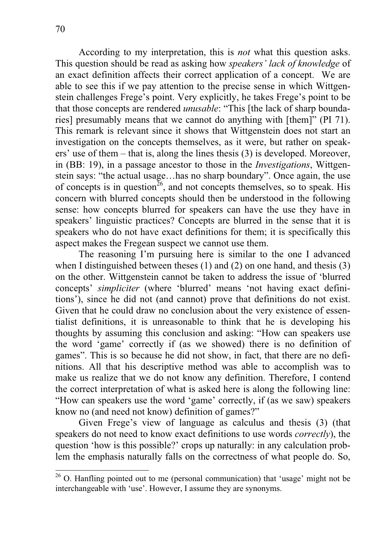According to my interpretation, this is *not* what this question asks. This question should be read as asking how *speakers' lack of knowledge* of an exact definition affects their correct application of a concept. We are able to see this if we pay attention to the precise sense in which Wittgenstein challenges Frege's point. Very explicitly, he takes Frege's point to be that those concepts are rendered *unusable*: "This [the lack of sharp boundaries] presumably means that we cannot do anything with [them]" (PI 71). This remark is relevant since it shows that Wittgenstein does not start an investigation on the concepts themselves, as it were, but rather on speakers' use of them – that is, along the lines thesis (3) is developed. Moreover, in (BB: 19), in a passage ancestor to those in the *Investigations*, Wittgenstein says: "the actual usage…has no sharp boundary". Once again, the use of concepts is in question<sup>26</sup>, and not concepts themselves, so to speak. His concern with blurred concepts should then be understood in the following sense: how concepts blurred for speakers can have the use they have in speakers' linguistic practices? Concepts are blurred in the sense that it is speakers who do not have exact definitions for them; it is specifically this aspect makes the Fregean suspect we cannot use them.

The reasoning I'm pursuing here is similar to the one I advanced when I distinguished between theses (1) and (2) on one hand, and thesis (3) on the other. Wittgenstein cannot be taken to address the issue of 'blurred concepts' *simpliciter* (where 'blurred' means 'not having exact definitions'), since he did not (and cannot) prove that definitions do not exist. Given that he could draw no conclusion about the very existence of essentialist definitions, it is unreasonable to think that he is developing his thoughts by assuming this conclusion and asking: "How can speakers use the word 'game' correctly if (as we showed) there is no definition of games". This is so because he did not show, in fact, that there are no definitions. All that his descriptive method was able to accomplish was to make us realize that we do not know any definition. Therefore, I contend the correct interpretation of what is asked here is along the following line: "How can speakers use the word 'game' correctly, if (as we saw) speakers know no (and need not know) definition of games?"

Given Frege's view of language as calculus and thesis (3) (that speakers do not need to know exact definitions to use words *correctly*), the question 'how is this possible?' crops up naturally: in any calculation problem the emphasis naturally falls on the correctness of what people do. So,

 $\overline{a}$  $26$  O. Hanfling pointed out to me (personal communication) that 'usage' might not be interchangeable with 'use'. However, I assume they are synonyms.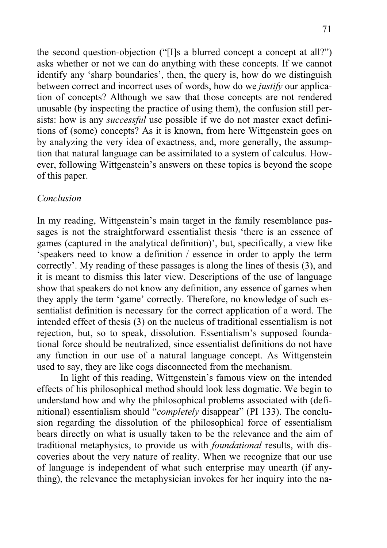the second question-objection ("[I]s a blurred concept a concept at all?") asks whether or not we can do anything with these concepts. If we cannot identify any 'sharp boundaries', then, the query is, how do we distinguish between correct and incorrect uses of words, how do we *justify* our application of concepts? Although we saw that those concepts are not rendered unusable (by inspecting the practice of using them), the confusion still persists: how is any *successful* use possible if we do not master exact definitions of (some) concepts? As it is known, from here Wittgenstein goes on by analyzing the very idea of exactness, and, more generally, the assumption that natural language can be assimilated to a system of calculus. However, following Wittgenstein's answers on these topics is beyond the scope of this paper.

## *Conclusion*

In my reading, Wittgenstein's main target in the family resemblance passages is not the straightforward essentialist thesis 'there is an essence of games (captured in the analytical definition)', but, specifically, a view like 'speakers need to know a definition / essence in order to apply the term correctly'. My reading of these passages is along the lines of thesis (3), and it is meant to dismiss this later view. Descriptions of the use of language show that speakers do not know any definition, any essence of games when they apply the term 'game' correctly. Therefore, no knowledge of such essentialist definition is necessary for the correct application of a word. The intended effect of thesis (3) on the nucleus of traditional essentialism is not rejection, but, so to speak, dissolution. Essentialism's supposed foundational force should be neutralized, since essentialist definitions do not have any function in our use of a natural language concept. As Wittgenstein used to say, they are like cogs disconnected from the mechanism.

In light of this reading, Wittgenstein's famous view on the intended effects of his philosophical method should look less dogmatic. We begin to understand how and why the philosophical problems associated with (definitional) essentialism should "*completely* disappear" (PI 133). The conclusion regarding the dissolution of the philosophical force of essentialism bears directly on what is usually taken to be the relevance and the aim of traditional metaphysics, to provide us with *foundational* results, with discoveries about the very nature of reality. When we recognize that our use of language is independent of what such enterprise may unearth (if anything), the relevance the metaphysician invokes for her inquiry into the na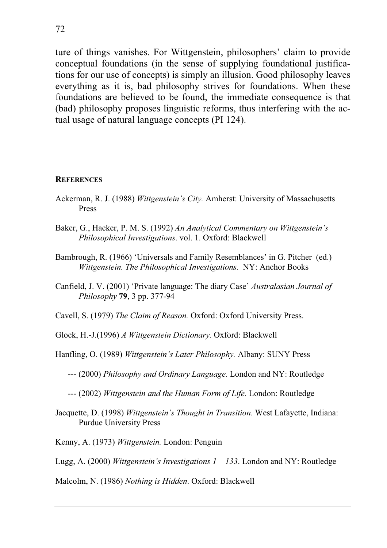ture of things vanishes. For Wittgenstein, philosophers' claim to provide conceptual foundations (in the sense of supplying foundational justifications for our use of concepts) is simply an illusion. Good philosophy leaves everything as it is, bad philosophy strives for foundations. When these foundations are believed to be found, the immediate consequence is that (bad) philosophy proposes linguistic reforms, thus interfering with the actual usage of natural language concepts (PI 124).

#### **REFERENCES**

- Ackerman, R. J. (1988) *Wittgenstein's City.* Amherst: University of Massachusetts Press
- Baker, G., Hacker, P. M. S. (1992) *An Analytical Commentary on Wittgenstein's Philosophical Investigations*. vol. 1. Oxford: Blackwell
- Bambrough, R. (1966) 'Universals and Family Resemblances' in G. Pitcher (ed.) *Wittgenstein. The Philosophical Investigations.* NY: Anchor Books
- Canfield, J. V. (2001) 'Private language: The diary Case' *Australasian Journal of Philosophy* **79**, 3 pp. 377-94

Cavell, S. (1979) *The Claim of Reason.* Oxford: Oxford University Press.

Glock, H.-J.(1996) *A Wittgenstein Dictionary.* Oxford: Blackwell

Hanfling, O. (1989) *Wittgenstein's Later Philosophy.* Albany: SUNY Press

--- (2000) *Philosophy and Ordinary Language.* London and NY: Routledge

--- (2002) *Wittgenstein and the Human Form of Life.* London: Routledge

Jacquette, D. (1998) *Wittgenstein's Thought in Transition*. West Lafayette, Indiana: Purdue University Press

Kenny, A. (1973) *Wittgenstein.* London: Penguin

Lugg, A. (2000) *Wittgenstein's Investigations 1 – 133*. London and NY: Routledge

Malcolm, N. (1986) *Nothing is Hidden*. Oxford: Blackwell